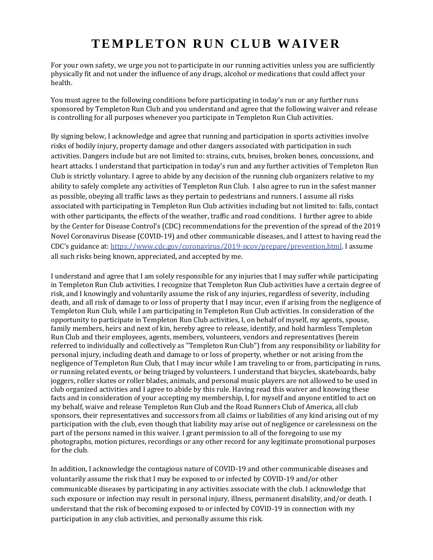## **TEMPLETON RUN CLUB WAIVER**

For your own safety, we urge you not to participate in our running activities unless you are sufficiently physically fit and not under the influence of any drugs, alcohol or medications that could affect your health.

You must agree to the following conditions before participating in today's run or any further runs sponsored by Templeton Run Club and you understand and agree that the following waiver and release is controlling for all purposes whenever you participate in Templeton Run Club activities.

By signing below, I acknowledge and agree that running and participation in sports activities involve risks of bodily injury, property damage and other dangers associated with participation in such activities. Dangers include but are not limited to: strains, cuts, bruises, broken bones, concussions, and heart attacks. I understand that participation in today's run and any further activities of Templeton Run Club is strictly voluntary. I agree to abide by any decision of the running club organizers relative to my ability to safely complete any activities of Templeton Run Club. I also agree to run in the safest manner as possible, obeying all traffic laws as they pertain to pedestrians and runners. I assume all risks associated with participating in Templeton Run Club activities including but not limited to: falls, contact with other participants, the effects of the weather, traffic and road conditions. I further agree to abide by the Center for Disease Control's (CDC) recommendations for the prevention of the spread of the 2019 Novel Coronavirus Disease (COVID-19) and other communicable diseases, and I attest to having read the CDC's guidance at: [https://www.cdc.gov/coronavirus/2019-ncov/prepare/prevention.html.](https://www.cdc.gov/coronavirus/2019-ncov/prepare/prevention.html) I assume all such risks being known, appreciated, and accepted by me.

I understand and agree that I am solely responsible for any injuries that I may suffer while participating in Templeton Run Club activities. I recognize that Templeton Run Club activities have a certain degree of risk, and I knowingly and voluntarily assume the risk of any injuries, regardless of severity, including death, and all risk of damage to or loss of property that I may incur, even if arising from the negligence of Templeton Run Club, while I am participating in Templeton Run Club activities. In consideration of the opportunity to participate in Templeton Run Club activities, I, on behalf of myself, my agents, spouse, family members, heirs and next of kin, hereby agree to release, identify, and hold harmless Templeton Run Club and their employees, agents, members, volunteers, vendors and representatives (herein referred to individually and collectively as "Templeton Run Club") from any responsibility or liability for personal injury, including death and damage to or loss of property, whether or not arising from the negligence of Templeton Run Club, that I may incur while I am traveling to or from, participating in runs, or running related events, or being triaged by volunteers. I understand that bicycles, skateboards, baby joggers, roller skates or roller blades, animals, and personal music players are not allowed to be used in club organized activities and I agree to abide by this rule. Having read this waiver and knowing these facts and in consideration of your accepting my membership, I, for myself and anyone entitled to act on my behalf, waive and release Templeton Run Club and the Road Runners Club of America, all club sponsors, their representatives and successors from all claims or liabilities of any kind arising out of my participation with the club, even though that liability may arise out of negligence or carelessness on the part of the persons named in this waiver. I grant permission to all of the foregoing to use my photographs, motion pictures, recordings or any other record for any legitimate promotional purposes for the club.

In addition, I acknowledge the contagious nature of COVID-19 and other communicable diseases and voluntarily assume the risk that I may be exposed to or infected by COVID-19 and/or other communicable diseases by participating in any activities associate with the club. I acknowledge that such exposure or infection may result in personal injury, illness, permanent disability, and/or death. I understand that the risk of becoming exposed to or infected by COVID-19 in connection with my participation in any club activities, and personally assume this risk.